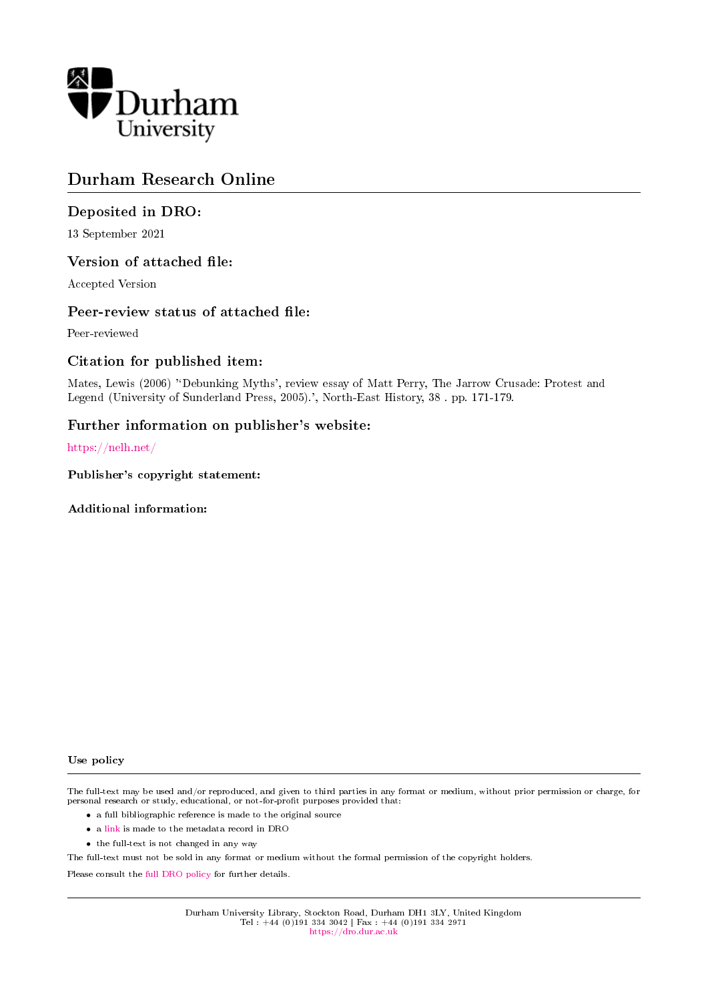

# Durham Research Online

## Deposited in DRO:

13 September 2021

#### Version of attached file:

Accepted Version

#### Peer-review status of attached file:

Peer-reviewed

## Citation for published item:

Mates, Lewis (2006) "Debunking Myths', review essay of Matt Perry, The Jarrow Crusade: Protest and Legend (University of Sunderland Press, 2005).', North-East History, 38 . pp. 171-179.

#### Further information on publisher's website:

<https://nelh.net/>

Publisher's copyright statement:

#### Additional information:

#### Use policy

The full-text may be used and/or reproduced, and given to third parties in any format or medium, without prior permission or charge, for personal research or study, educational, or not-for-profit purposes provided that:

- a full bibliographic reference is made to the original source
- a [link](http://dro.dur.ac.uk/33814/) is made to the metadata record in DRO
- the full-text is not changed in any way

The full-text must not be sold in any format or medium without the formal permission of the copyright holders.

Please consult the [full DRO policy](https://dro.dur.ac.uk/policies/usepolicy.pdf) for further details.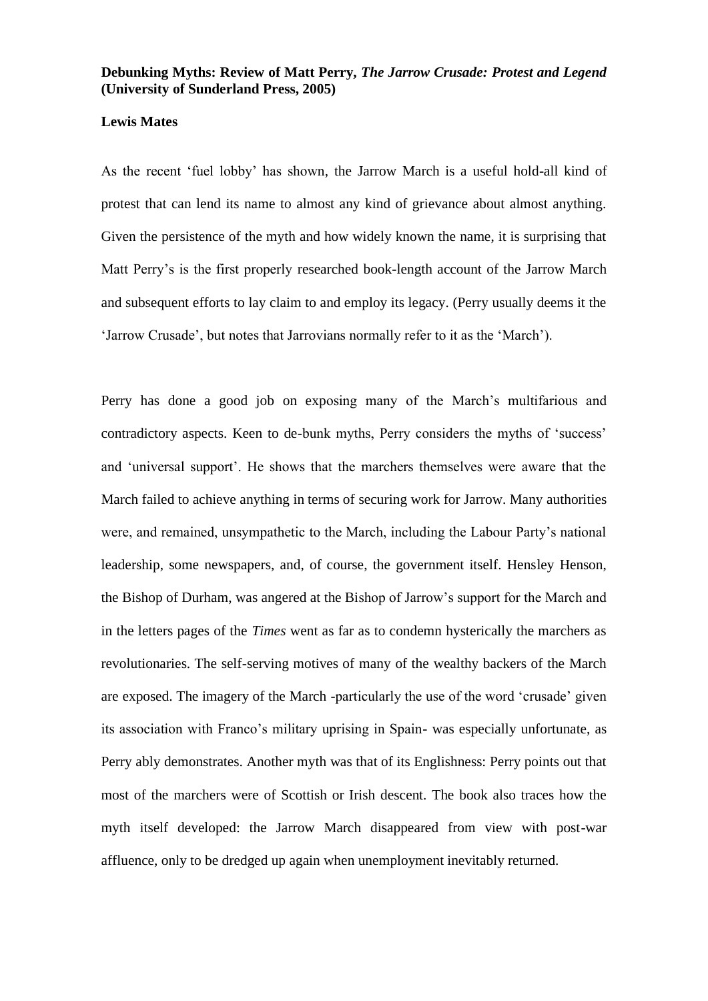# **Debunking Myths: Review of Matt Perry,** *The Jarrow Crusade: Protest and Legend* **(University of Sunderland Press, 2005)**

#### **Lewis Mates**

As the recent 'fuel lobby' has shown, the Jarrow March is a useful hold-all kind of protest that can lend its name to almost any kind of grievance about almost anything. Given the persistence of the myth and how widely known the name, it is surprising that Matt Perry's is the first properly researched book-length account of the Jarrow March and subsequent efforts to lay claim to and employ its legacy. (Perry usually deems it the 'Jarrow Crusade', but notes that Jarrovians normally refer to it as the 'March').

Perry has done a good job on exposing many of the March's multifarious and contradictory aspects. Keen to de-bunk myths, Perry considers the myths of 'success' and 'universal support'. He shows that the marchers themselves were aware that the March failed to achieve anything in terms of securing work for Jarrow. Many authorities were, and remained, unsympathetic to the March, including the Labour Party's national leadership, some newspapers, and, of course, the government itself. Hensley Henson, the Bishop of Durham, was angered at the Bishop of Jarrow's support for the March and in the letters pages of the *Times* went as far as to condemn hysterically the marchers as revolutionaries. The self-serving motives of many of the wealthy backers of the March are exposed. The imagery of the March -particularly the use of the word 'crusade' given its association with Franco's military uprising in Spain- was especially unfortunate, as Perry ably demonstrates. Another myth was that of its Englishness: Perry points out that most of the marchers were of Scottish or Irish descent. The book also traces how the myth itself developed: the Jarrow March disappeared from view with post-war affluence, only to be dredged up again when unemployment inevitably returned.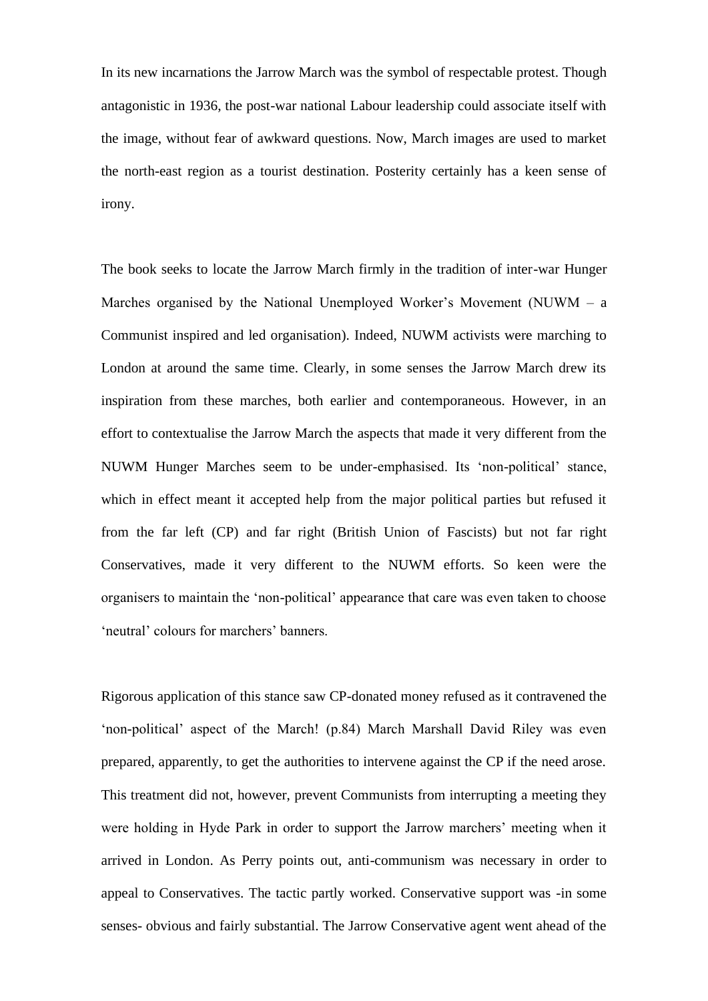In its new incarnations the Jarrow March was the symbol of respectable protest. Though antagonistic in 1936, the post-war national Labour leadership could associate itself with the image, without fear of awkward questions. Now, March images are used to market the north-east region as a tourist destination. Posterity certainly has a keen sense of irony.

The book seeks to locate the Jarrow March firmly in the tradition of inter-war Hunger Marches organised by the National Unemployed Worker's Movement (NUWM – a Communist inspired and led organisation). Indeed, NUWM activists were marching to London at around the same time. Clearly, in some senses the Jarrow March drew its inspiration from these marches, both earlier and contemporaneous. However, in an effort to contextualise the Jarrow March the aspects that made it very different from the NUWM Hunger Marches seem to be under-emphasised. Its 'non-political' stance, which in effect meant it accepted help from the major political parties but refused it from the far left (CP) and far right (British Union of Fascists) but not far right Conservatives, made it very different to the NUWM efforts. So keen were the organisers to maintain the 'non-political' appearance that care was even taken to choose 'neutral' colours for marchers' banners.

Rigorous application of this stance saw CP-donated money refused as it contravened the 'non-political' aspect of the March! (p.84) March Marshall David Riley was even prepared, apparently, to get the authorities to intervene against the CP if the need arose. This treatment did not, however, prevent Communists from interrupting a meeting they were holding in Hyde Park in order to support the Jarrow marchers' meeting when it arrived in London. As Perry points out, anti-communism was necessary in order to appeal to Conservatives. The tactic partly worked. Conservative support was -in some senses- obvious and fairly substantial. The Jarrow Conservative agent went ahead of the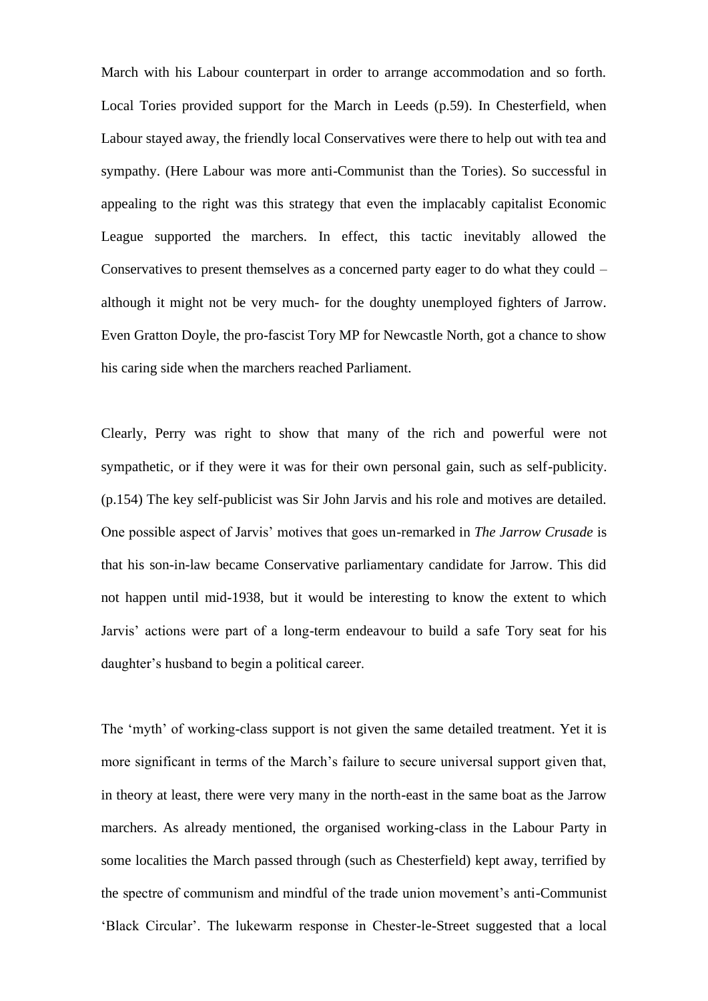March with his Labour counterpart in order to arrange accommodation and so forth. Local Tories provided support for the March in Leeds (p.59). In Chesterfield, when Labour stayed away, the friendly local Conservatives were there to help out with tea and sympathy. (Here Labour was more anti-Communist than the Tories). So successful in appealing to the right was this strategy that even the implacably capitalist Economic League supported the marchers. In effect, this tactic inevitably allowed the Conservatives to present themselves as a concerned party eager to do what they could – although it might not be very much- for the doughty unemployed fighters of Jarrow. Even Gratton Doyle, the pro-fascist Tory MP for Newcastle North, got a chance to show his caring side when the marchers reached Parliament.

Clearly, Perry was right to show that many of the rich and powerful were not sympathetic, or if they were it was for their own personal gain, such as self-publicity. (p.154) The key self-publicist was Sir John Jarvis and his role and motives are detailed. One possible aspect of Jarvis' motives that goes un-remarked in *The Jarrow Crusade* is that his son-in-law became Conservative parliamentary candidate for Jarrow. This did not happen until mid-1938, but it would be interesting to know the extent to which Jarvis' actions were part of a long-term endeavour to build a safe Tory seat for his daughter's husband to begin a political career.

The 'myth' of working-class support is not given the same detailed treatment. Yet it is more significant in terms of the March's failure to secure universal support given that, in theory at least, there were very many in the north-east in the same boat as the Jarrow marchers. As already mentioned, the organised working-class in the Labour Party in some localities the March passed through (such as Chesterfield) kept away, terrified by the spectre of communism and mindful of the trade union movement's anti-Communist 'Black Circular'. The lukewarm response in Chester-le-Street suggested that a local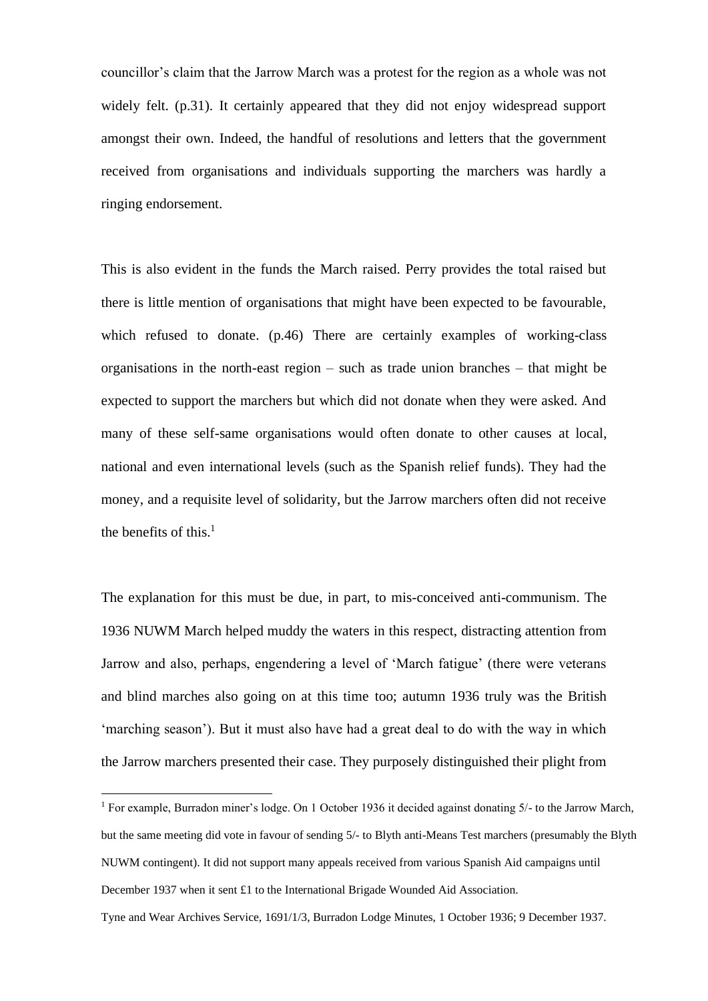councillor's claim that the Jarrow March was a protest for the region as a whole was not widely felt. (p.31). It certainly appeared that they did not enjoy widespread support amongst their own. Indeed, the handful of resolutions and letters that the government received from organisations and individuals supporting the marchers was hardly a ringing endorsement.

This is also evident in the funds the March raised. Perry provides the total raised but there is little mention of organisations that might have been expected to be favourable, which refused to donate. (p.46) There are certainly examples of working-class organisations in the north-east region – such as trade union branches – that might be expected to support the marchers but which did not donate when they were asked. And many of these self-same organisations would often donate to other causes at local, national and even international levels (such as the Spanish relief funds). They had the money, and a requisite level of solidarity, but the Jarrow marchers often did not receive the benefits of this. $<sup>1</sup>$ </sup>

The explanation for this must be due, in part, to mis-conceived anti-communism. The 1936 NUWM March helped muddy the waters in this respect, distracting attention from Jarrow and also, perhaps, engendering a level of 'March fatigue' (there were veterans and blind marches also going on at this time too; autumn 1936 truly was the British 'marching season'). But it must also have had a great deal to do with the way in which the Jarrow marchers presented their case. They purposely distinguished their plight from

<sup>&</sup>lt;sup>1</sup> For example, Burradon miner's lodge. On 1 October 1936 it decided against donating  $5/-$  to the Jarrow March, but the same meeting did vote in favour of sending 5/- to Blyth anti-Means Test marchers (presumably the Blyth NUWM contingent). It did not support many appeals received from various Spanish Aid campaigns until December 1937 when it sent £1 to the International Brigade Wounded Aid Association.

Tyne and Wear Archives Service, 1691/1/3, Burradon Lodge Minutes, 1 October 1936; 9 December 1937.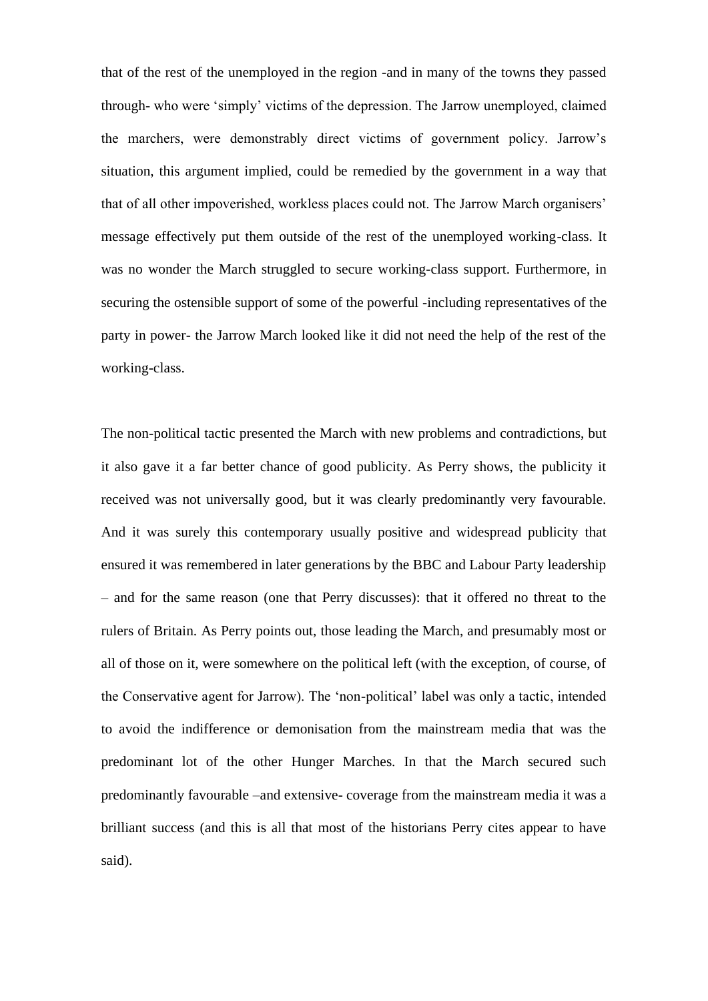that of the rest of the unemployed in the region -and in many of the towns they passed through- who were 'simply' victims of the depression. The Jarrow unemployed, claimed the marchers, were demonstrably direct victims of government policy. Jarrow's situation, this argument implied, could be remedied by the government in a way that that of all other impoverished, workless places could not. The Jarrow March organisers' message effectively put them outside of the rest of the unemployed working-class. It was no wonder the March struggled to secure working-class support. Furthermore, in securing the ostensible support of some of the powerful -including representatives of the party in power- the Jarrow March looked like it did not need the help of the rest of the working-class.

The non-political tactic presented the March with new problems and contradictions, but it also gave it a far better chance of good publicity. As Perry shows, the publicity it received was not universally good, but it was clearly predominantly very favourable. And it was surely this contemporary usually positive and widespread publicity that ensured it was remembered in later generations by the BBC and Labour Party leadership – and for the same reason (one that Perry discusses): that it offered no threat to the rulers of Britain. As Perry points out, those leading the March, and presumably most or all of those on it, were somewhere on the political left (with the exception, of course, of the Conservative agent for Jarrow). The 'non-political' label was only a tactic, intended to avoid the indifference or demonisation from the mainstream media that was the predominant lot of the other Hunger Marches. In that the March secured such predominantly favourable –and extensive- coverage from the mainstream media it was a brilliant success (and this is all that most of the historians Perry cites appear to have said).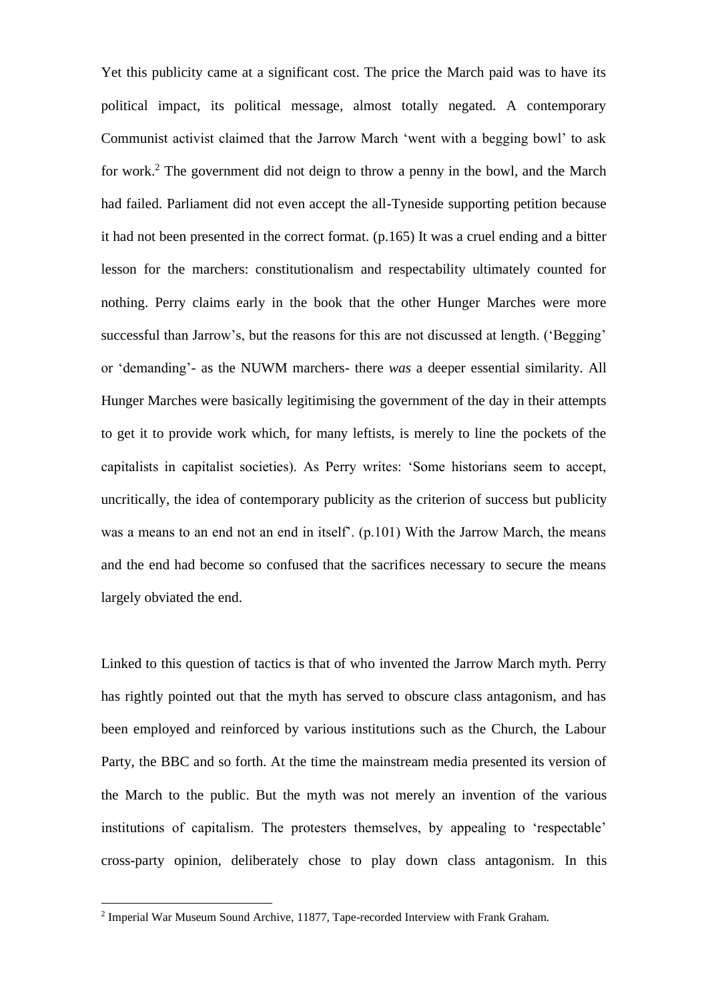Yet this publicity came at a significant cost. The price the March paid was to have its political impact, its political message, almost totally negated. A contemporary Communist activist claimed that the Jarrow March 'went with a begging bowl' to ask for work.<sup>2</sup> The government did not deign to throw a penny in the bowl, and the March had failed. Parliament did not even accept the all-Tyneside supporting petition because it had not been presented in the correct format. (p.165) It was a cruel ending and a bitter lesson for the marchers: constitutionalism and respectability ultimately counted for nothing. Perry claims early in the book that the other Hunger Marches were more successful than Jarrow's, but the reasons for this are not discussed at length. ('Begging' or 'demanding'- as the NUWM marchers- there *was* a deeper essential similarity. All Hunger Marches were basically legitimising the government of the day in their attempts to get it to provide work which, for many leftists, is merely to line the pockets of the capitalists in capitalist societies). As Perry writes: 'Some historians seem to accept, uncritically, the idea of contemporary publicity as the criterion of success but publicity was a means to an end not an end in itself'. (p.101) With the Jarrow March, the means and the end had become so confused that the sacrifices necessary to secure the means largely obviated the end.

Linked to this question of tactics is that of who invented the Jarrow March myth. Perry has rightly pointed out that the myth has served to obscure class antagonism, and has been employed and reinforced by various institutions such as the Church, the Labour Party, the BBC and so forth. At the time the mainstream media presented its version of the March to the public. But the myth was not merely an invention of the various institutions of capitalism. The protesters themselves, by appealing to 'respectable' cross-party opinion, deliberately chose to play down class antagonism. In this

<sup>&</sup>lt;sup>2</sup> Imperial War Museum Sound Archive, 11877, Tape-recorded Interview with Frank Graham.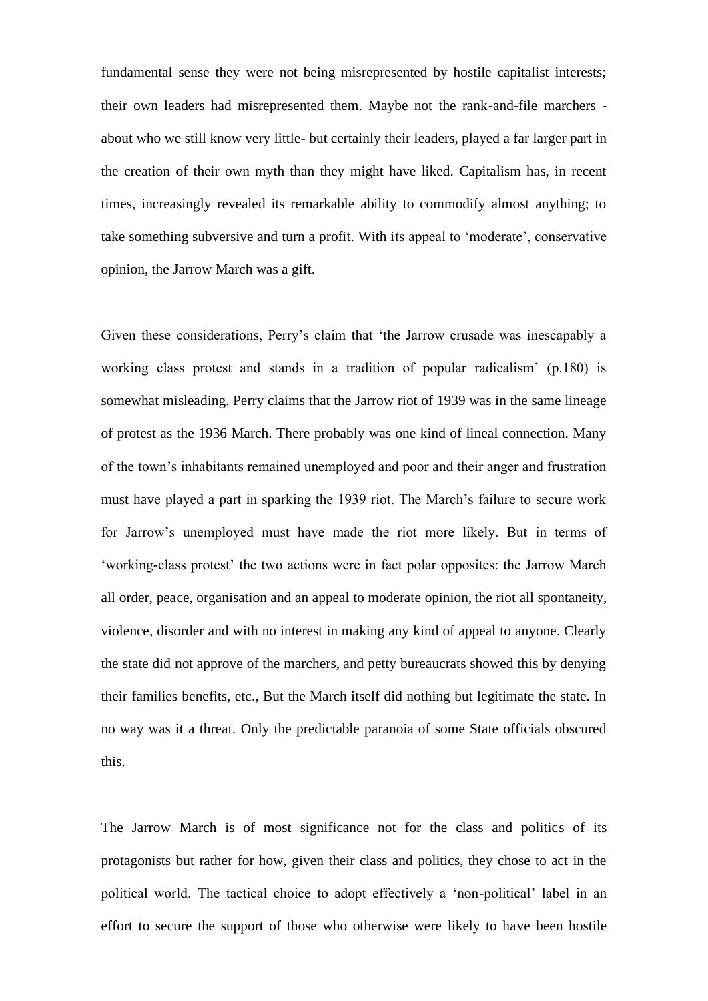fundamental sense they were not being misrepresented by hostile capitalist interests; their own leaders had misrepresented them. Maybe not the rank-and-file marchers about who we still know very little- but certainly their leaders, played a far larger part in the creation of their own myth than they might have liked. Capitalism has, in recent times, increasingly revealed its remarkable ability to commodify almost anything; to take something subversive and turn a profit. With its appeal to 'moderate', conservative opinion, the Jarrow March was a gift.

Given these considerations, Perry's claim that 'the Jarrow crusade was inescapably a working class protest and stands in a tradition of popular radicalism' (p.180) is somewhat misleading. Perry claims that the Jarrow riot of 1939 was in the same lineage of protest as the 1936 March. There probably was one kind of lineal connection. Many of the town's inhabitants remained unemployed and poor and their anger and frustration must have played a part in sparking the 1939 riot. The March's failure to secure work for Jarrow's unemployed must have made the riot more likely. But in terms of 'working-class protest' the two actions were in fact polar opposites: the Jarrow March all order, peace, organisation and an appeal to moderate opinion, the riot all spontaneity, violence, disorder and with no interest in making any kind of appeal to anyone. Clearly the state did not approve of the marchers, and petty bureaucrats showed this by denying their families benefits, etc., But the March itself did nothing but legitimate the state. In no way was it a threat. Only the predictable paranoia of some State officials obscured this.

The Jarrow March is of most significance not for the class and politics of its protagonists but rather for how, given their class and politics, they chose to act in the political world. The tactical choice to adopt effectively a 'non-political' label in an effort to secure the support of those who otherwise were likely to have been hostile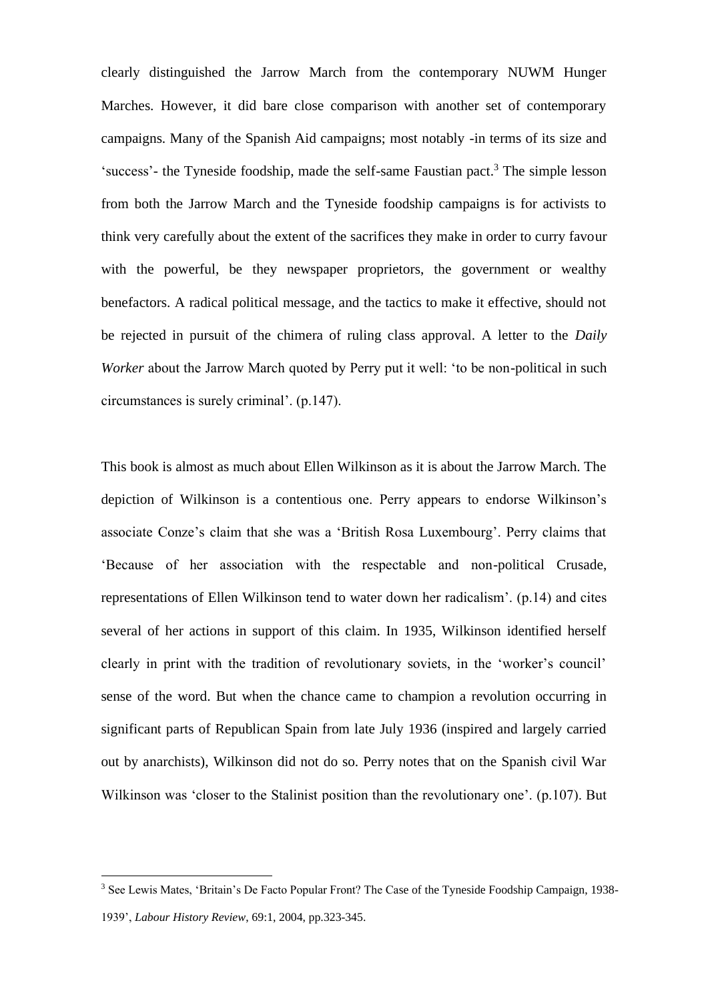clearly distinguished the Jarrow March from the contemporary NUWM Hunger Marches. However, it did bare close comparison with another set of contemporary campaigns. Many of the Spanish Aid campaigns; most notably -in terms of its size and 'success'- the Tyneside foodship, made the self-same Faustian pact.<sup>3</sup> The simple lesson from both the Jarrow March and the Tyneside foodship campaigns is for activists to think very carefully about the extent of the sacrifices they make in order to curry favour with the powerful, be they newspaper proprietors, the government or wealthy benefactors. A radical political message, and the tactics to make it effective, should not be rejected in pursuit of the chimera of ruling class approval. A letter to the *Daily Worker* about the Jarrow March quoted by Perry put it well: 'to be non-political in such circumstances is surely criminal'. (p.147).

This book is almost as much about Ellen Wilkinson as it is about the Jarrow March. The depiction of Wilkinson is a contentious one. Perry appears to endorse Wilkinson's associate Conze's claim that she was a 'British Rosa Luxembourg'. Perry claims that 'Because of her association with the respectable and non-political Crusade, representations of Ellen Wilkinson tend to water down her radicalism'. (p.14) and cites several of her actions in support of this claim. In 1935, Wilkinson identified herself clearly in print with the tradition of revolutionary soviets, in the 'worker's council' sense of the word. But when the chance came to champion a revolution occurring in significant parts of Republican Spain from late July 1936 (inspired and largely carried out by anarchists), Wilkinson did not do so. Perry notes that on the Spanish civil War Wilkinson was 'closer to the Stalinist position than the revolutionary one'. (p.107). But

<sup>&</sup>lt;sup>3</sup> See Lewis Mates, 'Britain's De Facto Popular Front? The Case of the Tyneside Foodship Campaign, 1938-1939', *Labour History Review*, 69:1, 2004, pp.323-345.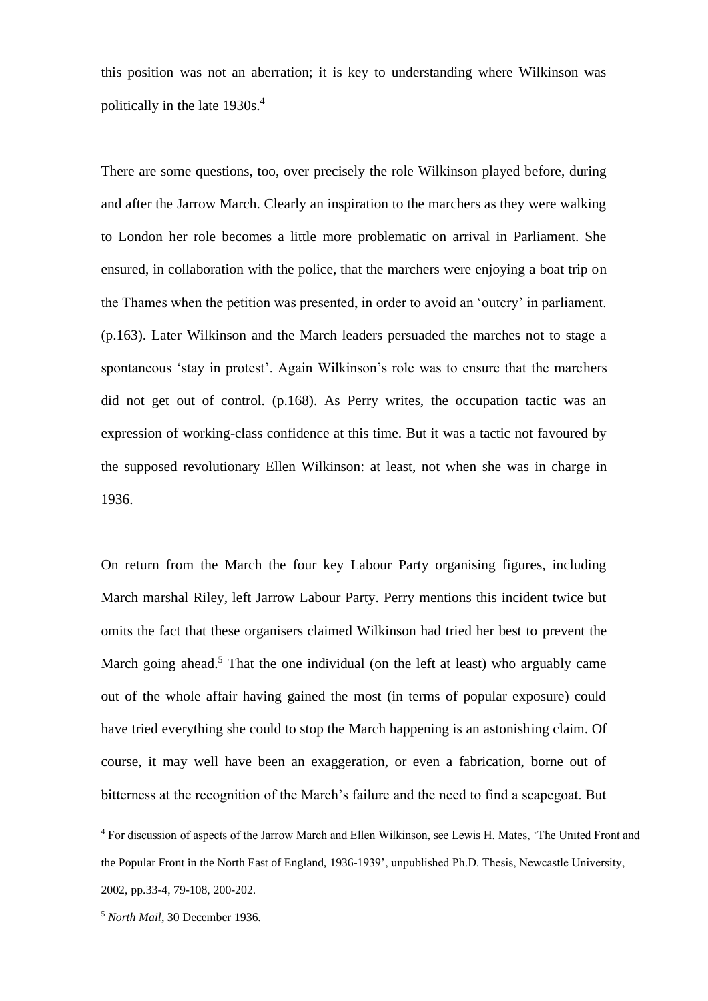this position was not an aberration; it is key to understanding where Wilkinson was politically in the late 1930s.<sup>4</sup>

There are some questions, too, over precisely the role Wilkinson played before, during and after the Jarrow March. Clearly an inspiration to the marchers as they were walking to London her role becomes a little more problematic on arrival in Parliament. She ensured, in collaboration with the police, that the marchers were enjoying a boat trip on the Thames when the petition was presented, in order to avoid an 'outcry' in parliament. (p.163). Later Wilkinson and the March leaders persuaded the marches not to stage a spontaneous 'stay in protest'. Again Wilkinson's role was to ensure that the marchers did not get out of control. (p.168). As Perry writes, the occupation tactic was an expression of working-class confidence at this time. But it was a tactic not favoured by the supposed revolutionary Ellen Wilkinson: at least, not when she was in charge in 1936.

On return from the March the four key Labour Party organising figures, including March marshal Riley, left Jarrow Labour Party. Perry mentions this incident twice but omits the fact that these organisers claimed Wilkinson had tried her best to prevent the March going ahead.<sup>5</sup> That the one individual (on the left at least) who arguably came out of the whole affair having gained the most (in terms of popular exposure) could have tried everything she could to stop the March happening is an astonishing claim. Of course, it may well have been an exaggeration, or even a fabrication, borne out of bitterness at the recognition of the March's failure and the need to find a scapegoat. But

<sup>4</sup> For discussion of aspects of the Jarrow March and Ellen Wilkinson, see Lewis H. Mates, 'The United Front and the Popular Front in the North East of England, 1936-1939', unpublished Ph.D. Thesis, Newcastle University, 2002, pp.33-4, 79-108, 200-202.

<sup>5</sup> *North Mail*, 30 December 1936.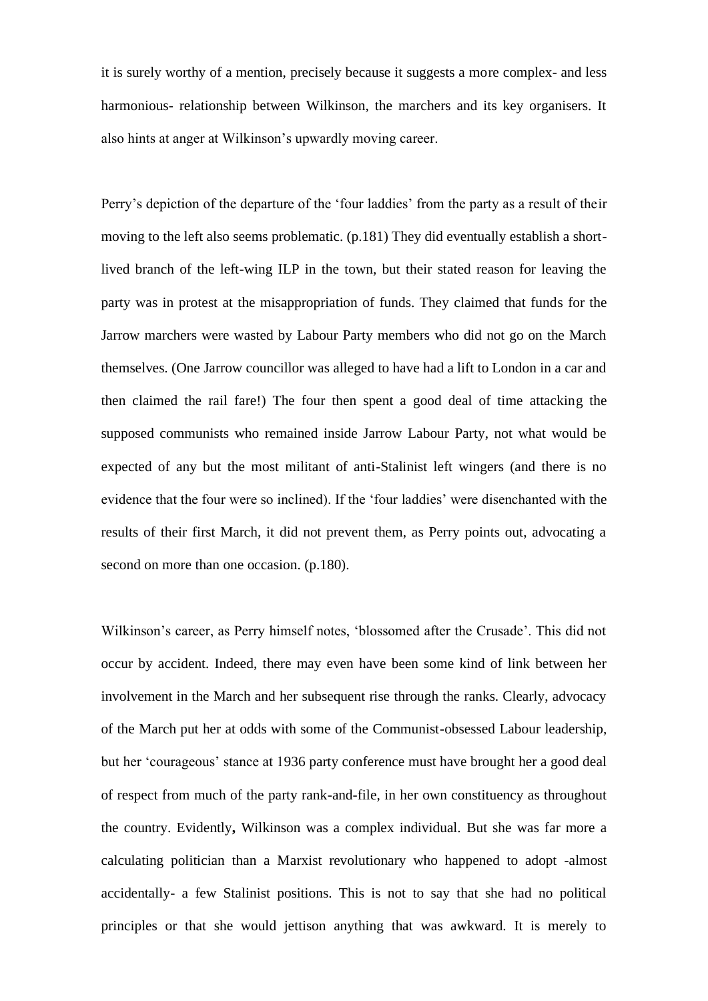it is surely worthy of a mention, precisely because it suggests a more complex- and less harmonious- relationship between Wilkinson, the marchers and its key organisers. It also hints at anger at Wilkinson's upwardly moving career.

Perry's depiction of the departure of the 'four laddies' from the party as a result of their moving to the left also seems problematic. (p.181) They did eventually establish a shortlived branch of the left-wing ILP in the town, but their stated reason for leaving the party was in protest at the misappropriation of funds. They claimed that funds for the Jarrow marchers were wasted by Labour Party members who did not go on the March themselves. (One Jarrow councillor was alleged to have had a lift to London in a car and then claimed the rail fare!) The four then spent a good deal of time attacking the supposed communists who remained inside Jarrow Labour Party, not what would be expected of any but the most militant of anti-Stalinist left wingers (and there is no evidence that the four were so inclined). If the 'four laddies' were disenchanted with the results of their first March, it did not prevent them, as Perry points out, advocating a second on more than one occasion. (p.180).

Wilkinson's career, as Perry himself notes, 'blossomed after the Crusade'. This did not occur by accident. Indeed, there may even have been some kind of link between her involvement in the March and her subsequent rise through the ranks. Clearly, advocacy of the March put her at odds with some of the Communist-obsessed Labour leadership, but her 'courageous' stance at 1936 party conference must have brought her a good deal of respect from much of the party rank-and-file, in her own constituency as throughout the country. Evidently**,** Wilkinson was a complex individual. But she was far more a calculating politician than a Marxist revolutionary who happened to adopt -almost accidentally- a few Stalinist positions. This is not to say that she had no political principles or that she would jettison anything that was awkward. It is merely to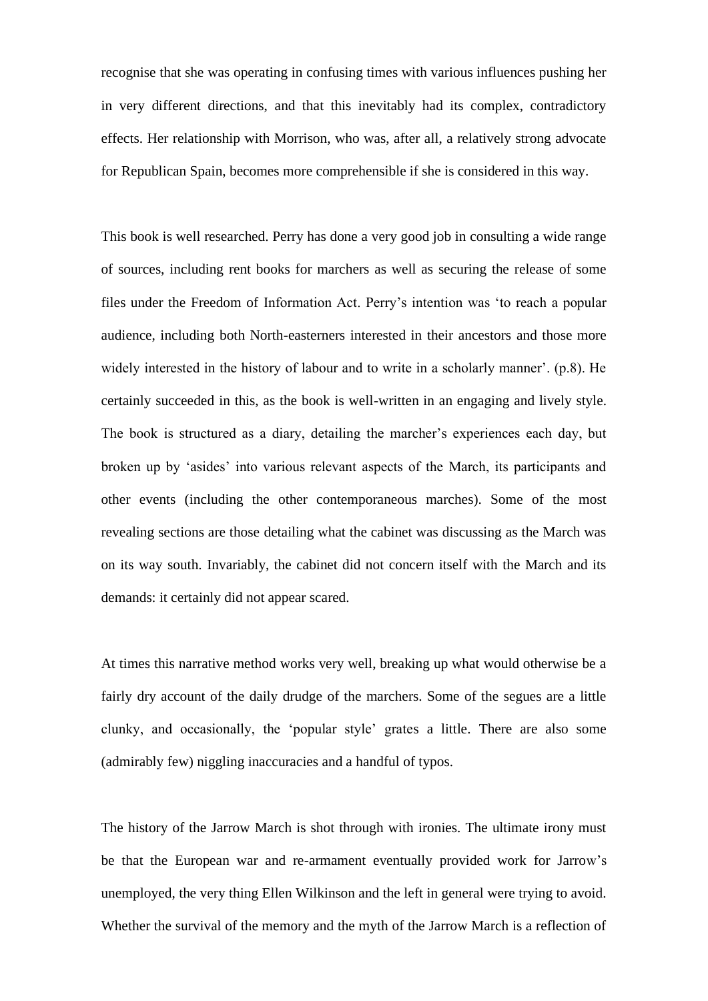recognise that she was operating in confusing times with various influences pushing her in very different directions, and that this inevitably had its complex, contradictory effects. Her relationship with Morrison, who was, after all, a relatively strong advocate for Republican Spain, becomes more comprehensible if she is considered in this way.

This book is well researched. Perry has done a very good job in consulting a wide range of sources, including rent books for marchers as well as securing the release of some files under the Freedom of Information Act. Perry's intention was 'to reach a popular audience, including both North-easterners interested in their ancestors and those more widely interested in the history of labour and to write in a scholarly manner'. (p.8). He certainly succeeded in this, as the book is well-written in an engaging and lively style. The book is structured as a diary, detailing the marcher's experiences each day, but broken up by 'asides' into various relevant aspects of the March, its participants and other events (including the other contemporaneous marches). Some of the most revealing sections are those detailing what the cabinet was discussing as the March was on its way south. Invariably, the cabinet did not concern itself with the March and its demands: it certainly did not appear scared.

At times this narrative method works very well, breaking up what would otherwise be a fairly dry account of the daily drudge of the marchers. Some of the segues are a little clunky, and occasionally, the 'popular style' grates a little. There are also some (admirably few) niggling inaccuracies and a handful of typos.

The history of the Jarrow March is shot through with ironies. The ultimate irony must be that the European war and re-armament eventually provided work for Jarrow's unemployed, the very thing Ellen Wilkinson and the left in general were trying to avoid. Whether the survival of the memory and the myth of the Jarrow March is a reflection of